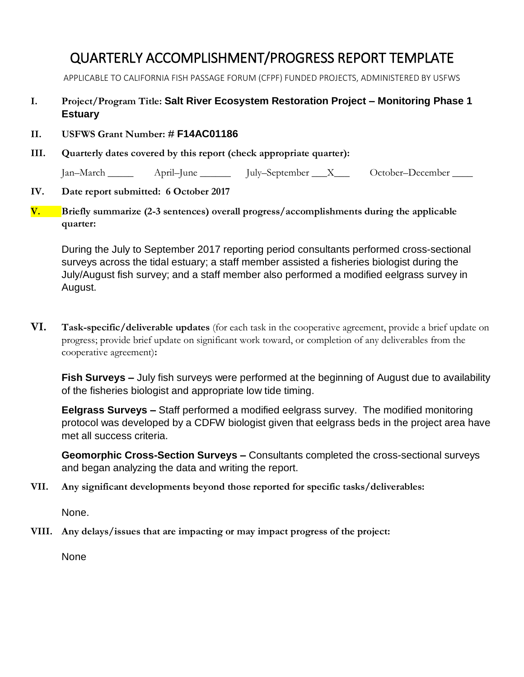## QUARTERLY ACCOMPLISHMENT/PROGRESS REPORT TEMPLATE

APPLICABLE TO CALIFORNIA FISH PASSAGE FORUM (CFPF) FUNDED PROJECTS, ADMINISTERED BY USFWS

- **I. Project/Program Title: Salt River Ecosystem Restoration Project – Monitoring Phase 1 Estuary**
- **II. USFWS Grant Number: # F14AC01186**
- **III. Quarterly dates covered by this report (check appropriate quarter):**

Jan–March \_\_\_\_\_ April–June July–September \_\_\_X\_\_\_ October–December \_\_\_\_

## **IV. Date report submitted: 6 October 2017**

**V. Briefly summarize (2-3 sentences) overall progress/accomplishments during the applicable quarter:** 

During the July to September 2017 reporting period consultants performed cross-sectional surveys across the tidal estuary; a staff member assisted a fisheries biologist during the July/August fish survey; and a staff member also performed a modified eelgrass survey in August.

**VI. Task-specific/deliverable updates** (for each task in the cooperative agreement, provide a brief update on progress; provide brief update on significant work toward, or completion of any deliverables from the cooperative agreement)**:**

**Fish Surveys –** July fish surveys were performed at the beginning of August due to availability of the fisheries biologist and appropriate low tide timing.

**Eelgrass Surveys –** Staff performed a modified eelgrass survey. The modified monitoring protocol was developed by a CDFW biologist given that eelgrass beds in the project area have met all success criteria.

**Geomorphic Cross-Section Surveys –** Consultants completed the cross-sectional surveys and began analyzing the data and writing the report.

**VII. Any significant developments beyond those reported for specific tasks/deliverables:**

None.

**VIII. Any delays/issues that are impacting or may impact progress of the project:**

None